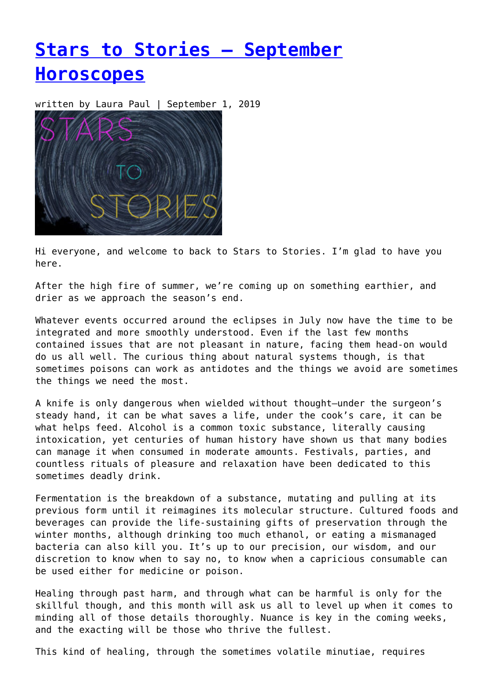# **[Stars to Stories – September](https://entropymag.org/stars-to-stories-september-horoscopes/) [Horoscopes](https://entropymag.org/stars-to-stories-september-horoscopes/)**

written by Laura Paul | September 1, 2019



Hi everyone, and welcome to back to Stars to Stories. I'm glad to have you here.

After the high fire of summer, we're coming up on something earthier, and drier as we approach the season's end.

Whatever events occurred around the eclipses in July now have the time to be integrated and more smoothly understood. Even if the last few months contained issues that are not pleasant in nature, facing them head-on would do us all well. The curious thing about natural systems though, is that sometimes poisons can work as antidotes and the things we avoid are sometimes the things we need the most.

A knife is only dangerous when wielded without thought—under the surgeon's steady hand, it can be what saves a life, under the cook's care, it can be what helps feed. Alcohol is a common toxic substance, literally causing intoxication, yet centuries of human history have shown us that many bodies can manage it when consumed in moderate amounts. Festivals, parties, and countless rituals of pleasure and relaxation have been dedicated to this sometimes deadly drink.

Fermentation is the breakdown of a substance, mutating and pulling at its previous form until it reimagines its molecular structure. Cultured foods and beverages can provide the life-sustaining gifts of preservation through the winter months, although drinking too much ethanol, or eating a mismanaged bacteria can also kill you. It's up to our precision, our wisdom, and our discretion to know when to say no, to know when a capricious consumable can be used either for medicine or poison.

Healing through past harm, and through what can be harmful is only for the skillful though, and this month will ask us all to level up when it comes to minding all of those details thoroughly. Nuance is key in the coming weeks, and the exacting will be those who thrive the fullest.

This kind of healing, through the sometimes volatile minutiae, requires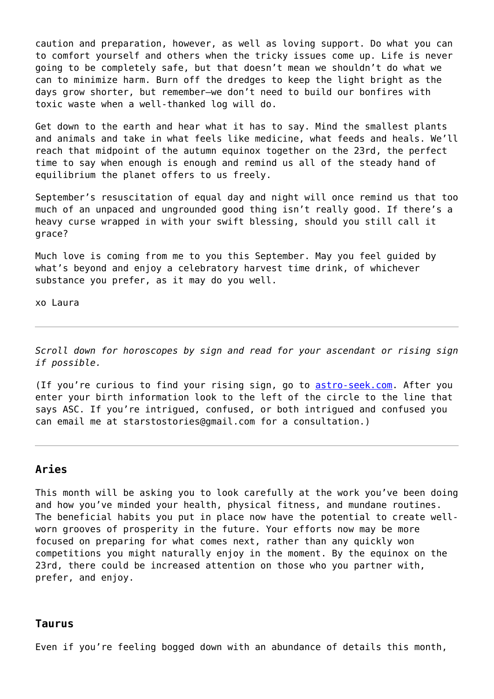caution and preparation, however, as well as loving support. Do what you can to comfort yourself and others when the tricky issues come up. Life is never going to be completely safe, but that doesn't mean we shouldn't do what we can to minimize harm. Burn off the dredges to keep the light bright as the days grow shorter, but remember—we don't need to build our bonfires with toxic waste when a well-thanked log will do.

Get down to the earth and hear what it has to say. Mind the smallest plants and animals and take in what feels like medicine, what feeds and heals. We'll reach that midpoint of the autumn equinox together on the 23rd, the perfect time to say when enough is enough and remind us all of the steady hand of equilibrium the planet offers to us freely.

September's resuscitation of equal day and night will once remind us that too much of an unpaced and ungrounded good thing isn't really good. If there's a heavy curse wrapped in with your swift blessing, should you still call it grace?

Much love is coming from me to you this September. May you feel guided by what's beyond and enjoy a celebratory harvest time drink, of whichever substance you prefer, as it may do you well.

xo Laura

*Scroll down for horoscopes by sign and read for your ascendant or rising sign if possible.*

(If you're curious to find your rising sign, go to **astro-seek.com**. After you enter your birth information look to the left of the circle to the line that says ASC. If you're intrigued, confused, or both intrigued and confused you can email me at starstostories@gmail.com for a consultation.)

## **Aries**

This month will be asking you to look carefully at the work you've been doing and how you've minded your health, physical fitness, and mundane routines. The beneficial habits you put in place now have the potential to create wellworn grooves of prosperity in the future. Your efforts now may be more focused on preparing for what comes next, rather than any quickly won competitions you might naturally enjoy in the moment. By the equinox on the 23rd, there could be increased attention on those who you partner with, prefer, and enjoy.

#### **Taurus**

Even if you're feeling bogged down with an abundance of details this month,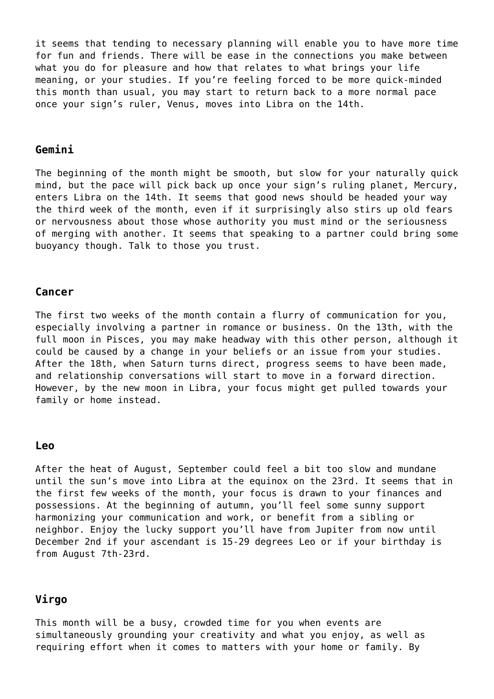it seems that tending to necessary planning will enable you to have more time for fun and friends. There will be ease in the connections you make between what you do for pleasure and how that relates to what brings your life meaning, or your studies. If you're feeling forced to be more quick-minded this month than usual, you may start to return back to a more normal pace once your sign's ruler, Venus, moves into Libra on the 14th.

#### **Gemini**

The beginning of the month might be smooth, but slow for your naturally quick mind, but the pace will pick back up once your sign's ruling planet, Mercury, enters Libra on the 14th. It seems that good news should be headed your way the third week of the month, even if it surprisingly also stirs up old fears or nervousness about those whose authority you must mind or the seriousness of merging with another. It seems that speaking to a partner could bring some buoyancy though. Talk to those you trust.

#### **Cancer**

The first two weeks of the month contain a flurry of communication for you, especially involving a partner in romance or business. On the 13th, with the full moon in Pisces, you may make headway with this other person, although it could be caused by a change in your beliefs or an issue from your studies. After the 18th, when Saturn turns direct, progress seems to have been made, and relationship conversations will start to move in a forward direction. However, by the new moon in Libra, your focus might get pulled towards your family or home instead.

#### **Leo**

After the heat of August, September could feel a bit too slow and mundane until the sun's move into Libra at the equinox on the 23rd. It seems that in the first few weeks of the month, your focus is drawn to your finances and possessions. At the beginning of autumn, you'll feel some sunny support harmonizing your communication and work, or benefit from a sibling or neighbor. Enjoy the lucky support you'll have from Jupiter from now until December 2nd if your ascendant is 15-29 degrees Leo or if your birthday is from August 7th-23rd.

### **Virgo**

This month will be a busy, crowded time for you when events are simultaneously grounding your creativity and what you enjoy, as well as requiring effort when it comes to matters with your home or family. By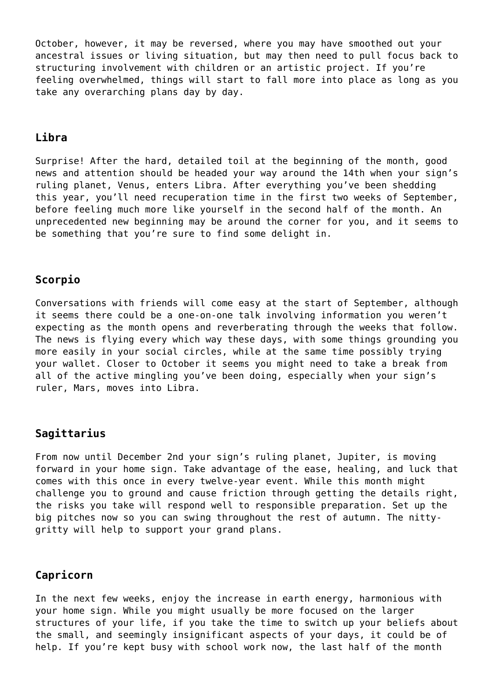October, however, it may be reversed, where you may have smoothed out your ancestral issues or living situation, but may then need to pull focus back to structuring involvement with children or an artistic project. If you're feeling overwhelmed, things will start to fall more into place as long as you take any overarching plans day by day.

## **Libra**

Surprise! After the hard, detailed toil at the beginning of the month, good news and attention should be headed your way around the 14th when your sign's ruling planet, Venus, enters Libra. After everything you've been shedding this year, you'll need recuperation time in the first two weeks of September, before feeling much more like yourself in the second half of the month. An unprecedented new beginning may be around the corner for you, and it seems to be something that you're sure to find some delight in.

# **Scorpio**

Conversations with friends will come easy at the start of September, although it seems there could be a one-on-one talk involving information you weren't expecting as the month opens and reverberating through the weeks that follow. The news is flying every which way these days, with some things grounding you more easily in your social circles, while at the same time possibly trying your wallet. Closer to October it seems you might need to take a break from all of the active mingling you've been doing, especially when your sign's ruler, Mars, moves into Libra.

## **Sagittarius**

From now until December 2nd your sign's ruling planet, Jupiter, is moving forward in your home sign. Take advantage of the ease, healing, and luck that comes with this once in every twelve-year event. While this month might challenge you to ground and cause friction through getting the details right, the risks you take will respond well to responsible preparation. Set up the big pitches now so you can swing throughout the rest of autumn. The nittygritty will help to support your grand plans.

# **Capricorn**

In the next few weeks, enjoy the increase in earth energy, harmonious with your home sign. While you might usually be more focused on the larger structures of your life, if you take the time to switch up your beliefs about the small, and seemingly insignificant aspects of your days, it could be of help. If you're kept busy with school work now, the last half of the month